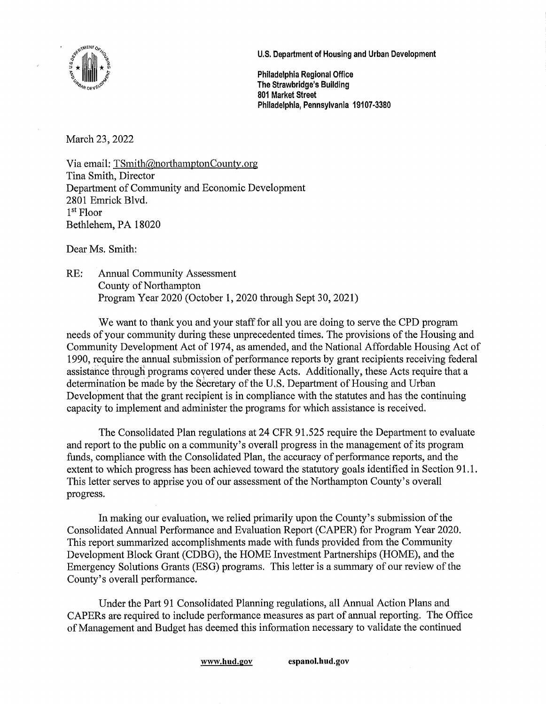

**U.S. Department of Housing and Urban Development** 

**Philadelphia Regional Office The Strawbridge's Building 801 Market Street Philadelphia, Pennsylvania 19107-3380** 

March 23, 2022

Via email:  $TSmith@northamptonCountry.org$ Tina Smith, Director Department of Community and Economic Development 2801 Emrick Blvd. 1st Floor Bethlehem, PA 18020

Dear Ms. Smith:

RE: Annual Community Assessment County of Northampton Program Year 2020 (October 1, 2020 through Sept 30, 2021)

We want to thank you and your staff for all you are doing to serve the CPD program needs of your community during these unprecedented times. The provisions of the Housing and Community Development Act of 1974, as amended, and the National Affordable Housing Act of 1990, require the annual submission of performance reports by grant recipients receiving federal assistance through programs covered under these Acts. Additionally, these Acts require that a determination be made by the Secretary of the U.S. Department of Housing and Urban Development that the grant recipient is in compliance with the statutes and has the continuing capacity to implement and administer the programs for which assistance is received.

The Consolidated Plan regulations at 24 CFR 91.525 require the Department to evaluate and report to the public on a community's overall progress in the management of its program funds, compliance with the Consolidated Plan, the accuracy of performance reports, and the extent to which progress has been achieved toward the statutory goals identified in Section 91.1. This letter serves to apprise you of our assessment of the Northampton County's overall progress.

In making our evaluation, we relied primarily upon the County's submission of the Consolidated Annual Performance and Evaluation Report (CAPER) for Program Year 2020. This report summarized accomplishments made with funds provided from the Community Development Block Grant (CDBG), the HOME Investment Partnerships (HOME), and the Emergency Solutions Grants (ESG) programs. This letter is a summary of our review of the County's overall performance.

Under the Part 91 Consolidated Planning regulations, all Annual Action Plans and CAPERs are required to include performance measures as part of annual reporting. The Office of Management and Budget has deemed this information necessary to validate the continued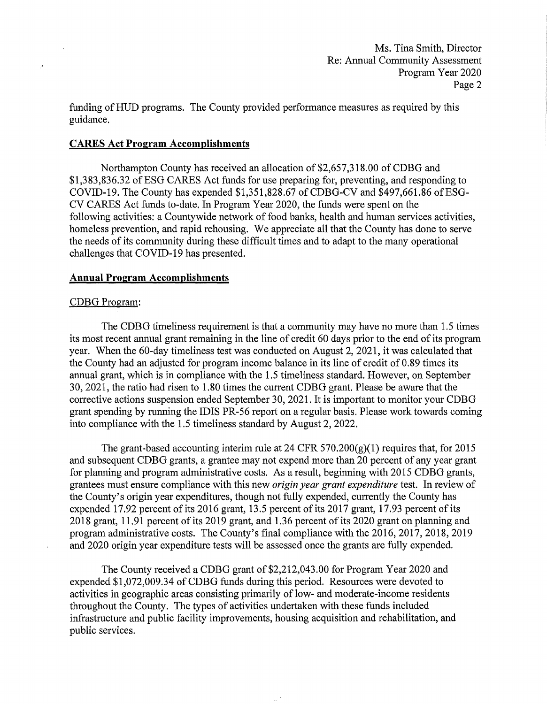Ms. Tina Smith, Director Re: Annual Community Assessment Program Year 2020 Page 2

funding of HUD programs. The County provided performance measures as required by this guidance.

## **CARES Act Program Accomplishments**

Northampton County has received an allocation of \$2,657,318.00 of CDBG and \$1,383,836.32 of ESG CARES Act funds for use preparing for, preventing, and responding to COVID-19. The County has expended  $$1,351,828.67$  of CDBG-CV and  $$497,661.86$  of ESG-CV CARES Act funds to-date. In Program Year 2020, the funds were spent on the following activities: a Countywide network of food banks, health and human services activities, homeless prevention, and rapid rehousing. We appreciate all that the County has done to serve the needs of its community during these difficult times and to adapt to the many operational challenges that COVID-19 has presented.

#### **Annual Program Accomplishments**

#### CDBG Program:

.<br>A

The CDBG timeliness requirement is that a community may have no more than 1.5 times its most recent annual grant remaining in the line of credit 60 days prior to the end of its program year. When the 60-day timeliness test was conducted on August 2, 2021, it was calculated that the County had an adjusted for program income balance in its line of credit of 0.89 times its annual grant, which is in compliance with the 1.5 timeliness standard. However, on September 30, 2021, the ratio had risen to 1.80 times the current CDBG grant. Please be aware that the corrective actions suspension ended September 30, 2021. It is important to monitor your CDBG grant spending by running the IDIS PR-56 report on a regular basis. Please work towards coming into compliance with the 1.5 timeliness standard by August 2, 2022.

The grant-based accounting interim rule at 24 CFR  $570.200(g)(1)$  requires that, for 2015 and subsequent CDBG grants, a grantee may not expend more than 20 percent of any year grant for planning and program administrative costs. As a result, beginning with 2015 CDBG grants, grantees must ensure compliance with this new *origin year grant expenditure* test. In review of the County's origin year expenditures, though not fully expended, currently the County has expended 17.92 percent of its 2016 grant, 13.5 percent of its 2017 grant, 17.93 percent of its 2018 grant, 11.91 percent of its 2019 grant, and 1.36 percent of its 2020 grant on planning and program administrative costs. The County's final compliance with the 2016, 2017, 2018, 2019 and 2020 origin year expenditure tests will be assessed once the grants are fully expended.

The County received a CDBG grant of \$2,212,043.00 for Program Year 2020 and expended \$1,072,009.34 of CDBG funds during this period. Resources were devoted to activities in geographic areas consisting primarily of low- and moderate-income residents throughout the County. The types of activities undertaken with these funds included infrastructure and public facility improvements, housing acquisition and rehabilitation, and public services.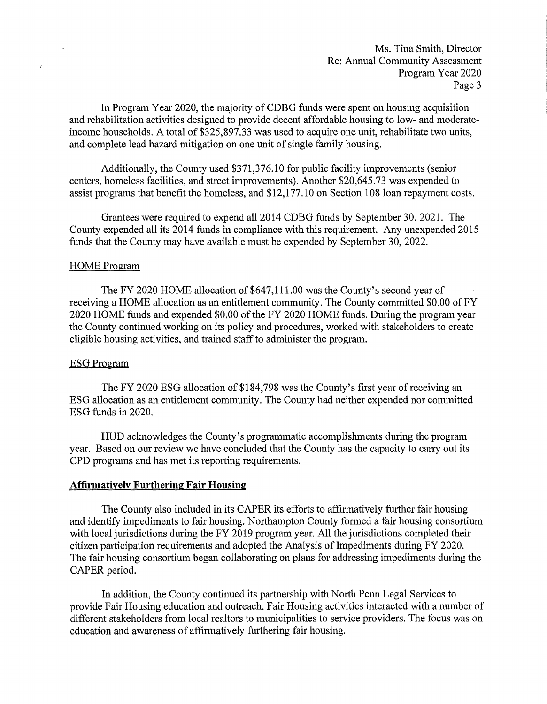Ms. Tina Smith, Director Re: Annual Community Assessment Program Year 2020 Page 3

In Program Year 2020, the majority of CDBG funds were spent on housing acquisition and rehabilitation activities designed to provide decent affordable housing to low- and moderateincome households. A total of \$325,897.33 was used to acquire one unit, rehabilitate two units, and complete lead hazard mitigation on one unit of single family housing.

Additionally, the County used [\\$371,376.10](https://371,376.10) for public facility improvements (senior centers, homeless facilities, and street improvements). Another \$[20,645.73](https://20,645.73) was expended to assist programs that benefit the homeless, and \$[12,177.10](https://12,177.10) on Section 108 loan repayment costs.

Grantees were required to expend all 2014 CDBG funds by September 30, 2021. The County expended all its 2014 funds in compliance with this requirement. Any unexpended 2015 funds that the County may have available must be expended by September 30, 2022.

## HOME Program

 $\overline{\mathscr{S}}$ 

The FY 2020 HOME allocation of \$647,111.00 was the County's second year of receiving a HOME allocation as an entitlement community. The County committed \$0.00 of FY 2020 HOME funds and expended \$0.00 of the FY 2020 HOME funds. During the program year the County continued working on its policy and procedures, worked with stakeholders to create eligible housing activities, and trained staff to administer the program.

### ESG Program

The FY 2020 ESG allocation of \$184,798 was the County's first year of receiving an ESG allocation as an entitlement community. The County had neither expended nor committed ESG funds in 2020.

HUD acknowledges the County's programmatic accomplishments during the program year. Based on our review we have concluded that the County has the capacity to carry out its CPD programs and has met its reporting requirements.

# **Affirmatively Furthering Fair Housing**

The County also included in its CAPER its efforts to affirmatively further fair housing and identify impediments to fair housing. Northampton County formed a fair housing consortium with local jurisdictions during the FY 2019 program year. All the jurisdictions completed their citizen participation requirements and adopted the Analysis of Impediments during FY 2020. The fair housing consortium began collaborating on plans for addressing impediments during the CAPER period.

In addition, the County continued its partnership with North Penn Legal Services to provide Fair Housing education and outreach. Fair Housing activities interacted with a number of different stakeholders from local realtors to municipalities to service providers. The focus was on education and awareness of affirmatively furthering fair housing.